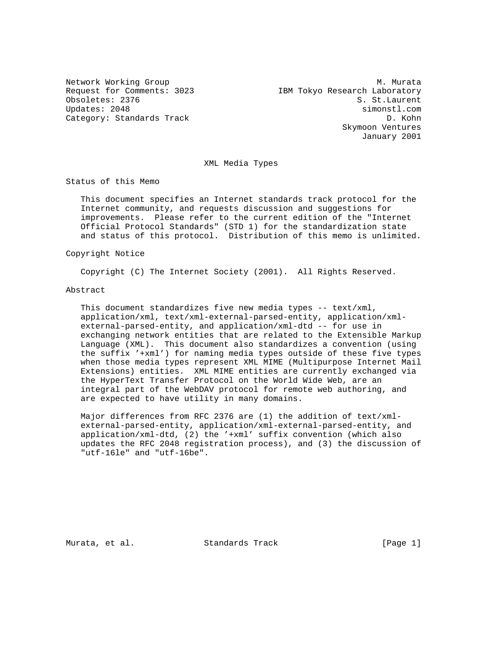Network Working Group<br>Request for Comments: 3023 Media Marked Messearch Laboratory IBM Tokyo Research Laboratory Obsoletes: 2376 S. St.Laurent Updates: 2048 simonstl.com Category: Standards Track D. Kohn Skymoon Ventures January 2001

#### XML Media Types

Status of this Memo

 This document specifies an Internet standards track protocol for the Internet community, and requests discussion and suggestions for improvements. Please refer to the current edition of the "Internet Official Protocol Standards" (STD 1) for the standardization state and status of this protocol. Distribution of this memo is unlimited.

# Copyright Notice

Copyright (C) The Internet Society (2001). All Rights Reserved.

## Abstract

 This document standardizes five new media types -- text/xml, application/xml, text/xml-external-parsed-entity, application/xml external-parsed-entity, and application/xml-dtd -- for use in exchanging network entities that are related to the Extensible Markup Language (XML). This document also standardizes a convention (using the suffix '+xml') for naming media types outside of these five types when those media types represent XML MIME (Multipurpose Internet Mail Extensions) entities. XML MIME entities are currently exchanged via the HyperText Transfer Protocol on the World Wide Web, are an integral part of the WebDAV protocol for remote web authoring, and are expected to have utility in many domains.

 Major differences from RFC 2376 are (1) the addition of text/xml external-parsed-entity, application/xml-external-parsed-entity, and application/xml-dtd, (2) the '+xml' suffix convention (which also updates the RFC 2048 registration process), and (3) the discussion of "utf-16le" and "utf-16be".

Murata, et al. Standards Track (Page 1)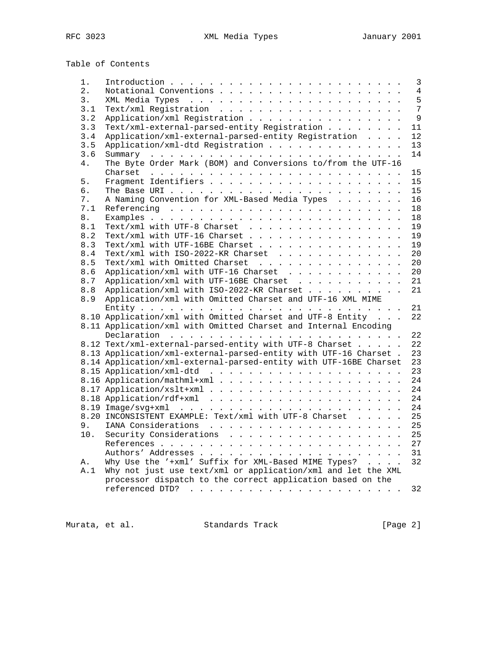Table of Contents

| 1.               |                                                                   | $\mathbf{3}$   |
|------------------|-------------------------------------------------------------------|----------------|
| $\overline{2}$ . |                                                                   | $\overline{4}$ |
| 3.               |                                                                   | 5              |
| 3.1              |                                                                   | 7              |
| 3.2              | Application/xml Registration                                      | 9              |
| 3.3              | Text/xml-external-parsed-entity Registration                      | 11             |
| 3.4              | Application/xml-external-parsed-entity Registration               | 12             |
| 3.5              | Application/xml-dtd Registration                                  | 13             |
| 3.6              |                                                                   | 14             |
| 4.               | The Byte Order Mark (BOM) and Conversions to/from the UTF-16      |                |
|                  |                                                                   | 15             |
| 5.               |                                                                   | 15             |
| б.               |                                                                   | 15             |
| 7.               | A Naming Convention for XML-Based Media Types                     | 16             |
| 7.1              |                                                                   | 18             |
| 8.               |                                                                   | 18             |
| 8.1              | Text/xml with UTF-8 Charset                                       | 19             |
| 8.2              | Text/xml with UTF-16 Charset                                      | 19             |
| 8.3              | Text/xml with UTF-16BE Charset                                    | 19             |
| 8.4              | Text/xml with $ISO-2022-KR$ Charset                               | 20             |
| 8.5              | Text/xml with Omitted Charset                                     | 20             |
| 8.6              |                                                                   | 20             |
| 8.7              | Application/xml with UTF-16BE Charset                             | 21             |
| 8.8              | Application/xml with ISO-2022-KR Charset                          | 21             |
| 8.9              | Application/xml with Omitted Charset and UTF-16 XML MIME          |                |
|                  |                                                                   | 21             |
|                  | 8.10 Application/xml with Omitted Charset and UTF-8 Entity        | 22             |
|                  | 8.11 Application/xml with Omitted Charset and Internal Encoding   |                |
|                  |                                                                   | 22             |
|                  | 8.12 Text/xml-external-parsed-entity with UTF-8 Charset           | 22             |
|                  | 8.13 Application/xml-external-parsed-entity with UTF-16 Charset.  | 23             |
|                  | 8.14 Application/xml-external-parsed-entity with UTF-16BE Charset | 23             |
|                  |                                                                   | 23             |
|                  |                                                                   | 24             |
|                  |                                                                   | 24             |
|                  |                                                                   | 24             |
|                  |                                                                   | 24             |
|                  | 8.20 INCONSISTENT EXAMPLE: Text/xml with UTF-8 Charset            | 25             |
| 9.               |                                                                   | 25             |
| 10.              | Security Considerations                                           | 25             |
|                  |                                                                   | 27             |
|                  |                                                                   | 31             |
| Α.               | Why Use the '+xml' Suffix for XML-Based MIME Types?               | 32             |
| A.1              | Why not just use text/xml or application/xml and let the XML      |                |
|                  | processor dispatch to the correct application based on the        |                |
|                  |                                                                   | 32             |
|                  |                                                                   |                |

Murata, et al. Standards Track [Page 2]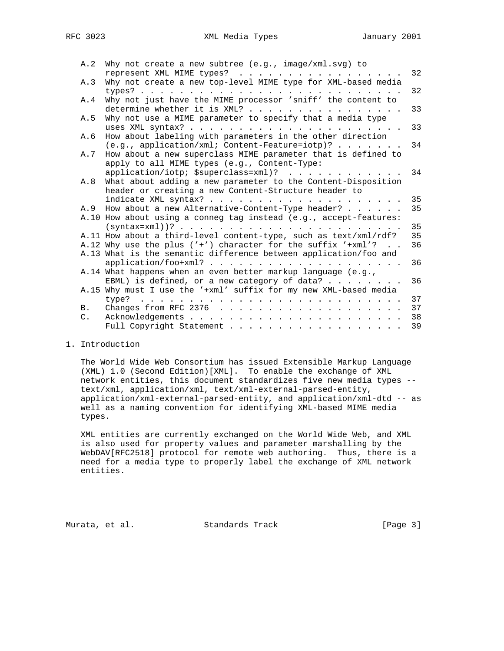| A.2            | Why not create a new subtree $(e.g., image/xm1.svg)$ to<br>represent XML MIME types? | 32 |
|----------------|--------------------------------------------------------------------------------------|----|
| A.3            | Why not create a new top-level MIME type for XML-based media                         |    |
|                |                                                                                      | 32 |
|                |                                                                                      |    |
| A.4            | Why not just have the MIME processor 'sniff' the content to                          | 33 |
|                | determine whether it is XML?                                                         |    |
| A.5            | Why not use a MIME parameter to specify that a media type                            |    |
|                |                                                                                      | 33 |
| A.6            | How about labeling with parameters in the other direction                            |    |
|                | $(e.g., application / xml; Content-Feature=iotp)?$                                   | 34 |
| A.7            | How about a new superclass MIME parameter that is defined to                         |    |
|                | apply to all MIME types (e.g., Content-Type:                                         |    |
|                | $application/iotp$ ; $Ssuperclass=xml$ )?                                            | 34 |
| A.8            | What about adding a new parameter to the Content-Disposition                         |    |
|                | header or creating a new Content-Structure header to                                 |    |
|                |                                                                                      | 35 |
| A.9            | How about a new Alternative-Content-Type header?                                     | 35 |
|                | A.10 How about using a conneg tag instead (e.g., accept-features:                    |    |
|                |                                                                                      | 35 |
|                | A.11 How about a third-level content-type, such as text/xml/rdf?                     | 35 |
|                | A.12 Why use the plus $('')$ character for the suffix $'+xml$ ?                      | 36 |
|                | A.13 What is the semantic difference between application/foo and                     |    |
|                | $application/foo+xml?$                                                               | 36 |
|                | A.14 What happens when an even better markup language (e.g.,                         |    |
|                | EBML) is defined, or a new category of data? $\ldots$                                | 36 |
|                | A.15 Why must I use the '+xml' suffix for my new XML-based media                     |    |
|                | type?                                                                                | 37 |
| <b>B.</b>      |                                                                                      | 37 |
| $\mathsf{C}$ . |                                                                                      | 38 |
|                | Full Copyright Statement                                                             | 39 |

# 1. Introduction

 The World Wide Web Consortium has issued Extensible Markup Language (XML) 1.0 (Second Edition)[XML]. To enable the exchange of XML network entities, this document standardizes five new media types - text/xml, application/xml, text/xml-external-parsed-entity, application/xml-external-parsed-entity, and application/xml-dtd -- as well as a naming convention for identifying XML-based MIME media types.

 XML entities are currently exchanged on the World Wide Web, and XML is also used for property values and parameter marshalling by the WebDAV[RFC2518] protocol for remote web authoring. Thus, there is a need for a media type to properly label the exchange of XML network entities.

Murata, et al. Standards Track [Page 3]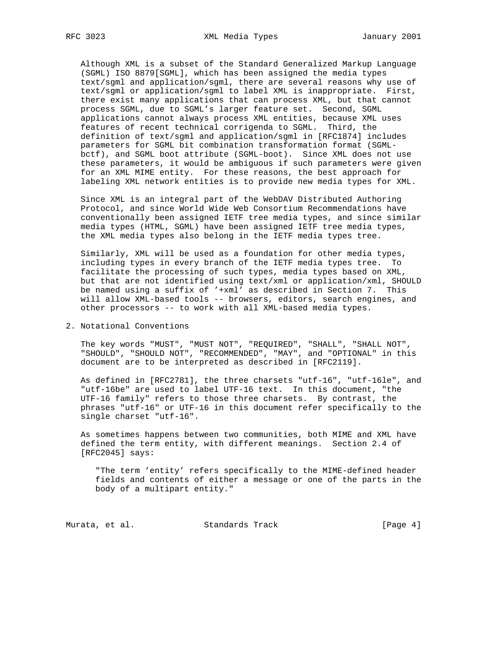Although XML is a subset of the Standard Generalized Markup Language (SGML) ISO 8879[SGML], which has been assigned the media types text/sgml and application/sgml, there are several reasons why use of text/sgml or application/sgml to label XML is inappropriate. First, there exist many applications that can process XML, but that cannot process SGML, due to SGML's larger feature set. Second, SGML applications cannot always process XML entities, because XML uses features of recent technical corrigenda to SGML. Third, the definition of text/sgml and application/sgml in [RFC1874] includes parameters for SGML bit combination transformation format (SGML bctf), and SGML boot attribute (SGML-boot). Since XML does not use these parameters, it would be ambiguous if such parameters were given for an XML MIME entity. For these reasons, the best approach for labeling XML network entities is to provide new media types for XML.

 Since XML is an integral part of the WebDAV Distributed Authoring Protocol, and since World Wide Web Consortium Recommendations have conventionally been assigned IETF tree media types, and since similar media types (HTML, SGML) have been assigned IETF tree media types, the XML media types also belong in the IETF media types tree.

 Similarly, XML will be used as a foundation for other media types, including types in every branch of the IETF media types tree. To facilitate the processing of such types, media types based on XML, but that are not identified using text/xml or application/xml, SHOULD be named using a suffix of '+xml' as described in Section 7. This will allow XML-based tools -- browsers, editors, search engines, and other processors -- to work with all XML-based media types.

## 2. Notational Conventions

 The key words "MUST", "MUST NOT", "REQUIRED", "SHALL", "SHALL NOT", "SHOULD", "SHOULD NOT", "RECOMMENDED", "MAY", and "OPTIONAL" in this document are to be interpreted as described in [RFC2119].

 As defined in [RFC2781], the three charsets "utf-16", "utf-16le", and "utf-16be" are used to label UTF-16 text. In this document, "the UTF-16 family" refers to those three charsets. By contrast, the phrases "utf-16" or UTF-16 in this document refer specifically to the single charset "utf-16".

 As sometimes happens between two communities, both MIME and XML have defined the term entity, with different meanings. Section 2.4 of [RFC2045] says:

 "The term 'entity' refers specifically to the MIME-defined header fields and contents of either a message or one of the parts in the body of a multipart entity."

Murata, et al. Standards Track (Page 4)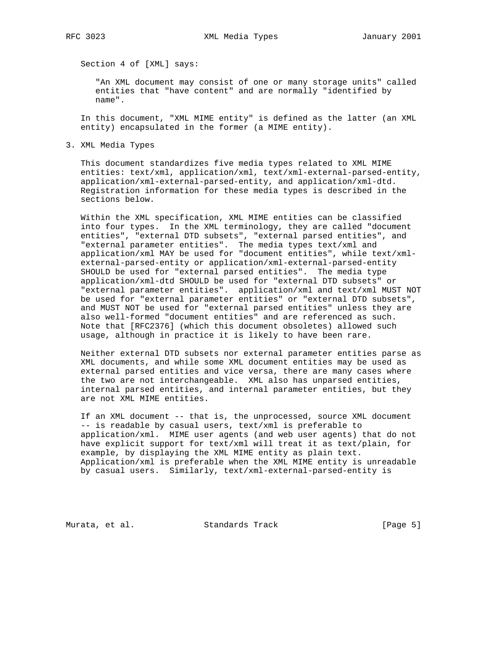Section 4 of [XML] says:

 "An XML document may consist of one or many storage units" called entities that "have content" and are normally "identified by name".

 In this document, "XML MIME entity" is defined as the latter (an XML entity) encapsulated in the former (a MIME entity).

3. XML Media Types

 This document standardizes five media types related to XML MIME entities: text/xml, application/xml, text/xml-external-parsed-entity, application/xml-external-parsed-entity, and application/xml-dtd. Registration information for these media types is described in the sections below.

 Within the XML specification, XML MIME entities can be classified into four types. In the XML terminology, they are called "document entities", "external DTD subsets", "external parsed entities", and "external parameter entities". The media types text/xml and application/xml MAY be used for "document entities", while text/xml external-parsed-entity or application/xml-external-parsed-entity SHOULD be used for "external parsed entities". The media type application/xml-dtd SHOULD be used for "external DTD subsets" or "external parameter entities". application/xml and text/xml MUST NOT be used for "external parameter entities" or "external DTD subsets", and MUST NOT be used for "external parsed entities" unless they are also well-formed "document entities" and are referenced as such. Note that [RFC2376] (which this document obsoletes) allowed such usage, although in practice it is likely to have been rare.

 Neither external DTD subsets nor external parameter entities parse as XML documents, and while some XML document entities may be used as external parsed entities and vice versa, there are many cases where the two are not interchangeable. XML also has unparsed entities, internal parsed entities, and internal parameter entities, but they are not XML MIME entities.

 If an XML document -- that is, the unprocessed, source XML document -- is readable by casual users, text/xml is preferable to application/xml. MIME user agents (and web user agents) that do not have explicit support for text/xml will treat it as text/plain, for example, by displaying the XML MIME entity as plain text. Application/xml is preferable when the XML MIME entity is unreadable by casual users. Similarly, text/xml-external-parsed-entity is

Murata, et al. Standards Track (Page 5)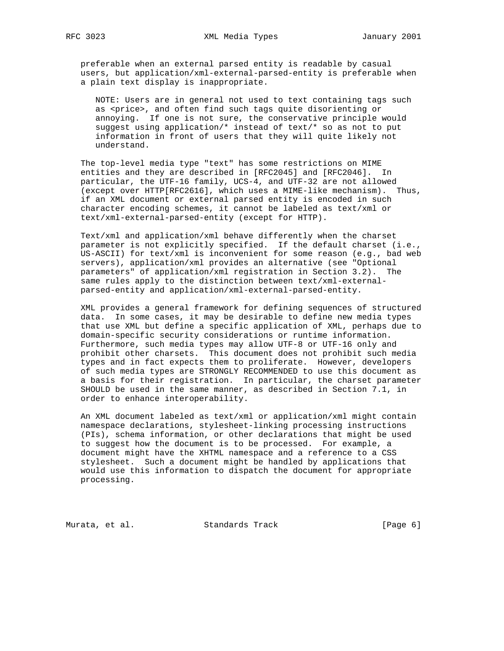preferable when an external parsed entity is readable by casual users, but application/xml-external-parsed-entity is preferable when a plain text display is inappropriate.

 NOTE: Users are in general not used to text containing tags such as <price>, and often find such tags quite disorienting or annoying. If one is not sure, the conservative principle would suggest using application/\* instead of text/\* so as not to put information in front of users that they will quite likely not understand.

 The top-level media type "text" has some restrictions on MIME entities and they are described in [RFC2045] and [RFC2046]. In particular, the UTF-16 family, UCS-4, and UTF-32 are not allowed (except over HTTP[RFC2616], which uses a MIME-like mechanism). Thus, if an XML document or external parsed entity is encoded in such character encoding schemes, it cannot be labeled as text/xml or text/xml-external-parsed-entity (except for HTTP).

 Text/xml and application/xml behave differently when the charset parameter is not explicitly specified. If the default charset (i.e., US-ASCII) for text/xml is inconvenient for some reason (e.g., bad web servers), application/xml provides an alternative (see "Optional parameters" of application/xml registration in Section 3.2). The same rules apply to the distinction between text/xml-external parsed-entity and application/xml-external-parsed-entity.

 XML provides a general framework for defining sequences of structured data. In some cases, it may be desirable to define new media types that use XML but define a specific application of XML, perhaps due to domain-specific security considerations or runtime information. Furthermore, such media types may allow UTF-8 or UTF-16 only and prohibit other charsets. This document does not prohibit such media types and in fact expects them to proliferate. However, developers of such media types are STRONGLY RECOMMENDED to use this document as a basis for their registration. In particular, the charset parameter SHOULD be used in the same manner, as described in Section 7.1, in order to enhance interoperability.

 An XML document labeled as text/xml or application/xml might contain namespace declarations, stylesheet-linking processing instructions (PIs), schema information, or other declarations that might be used to suggest how the document is to be processed. For example, a document might have the XHTML namespace and a reference to a CSS stylesheet. Such a document might be handled by applications that would use this information to dispatch the document for appropriate processing.

Murata, et al. Standards Track (Page 6)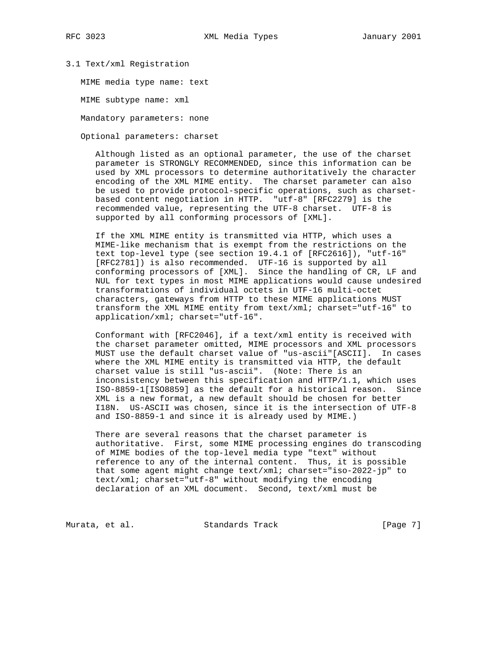## 3.1 Text/xml Registration

MIME media type name: text

MIME subtype name: xml

Mandatory parameters: none

Optional parameters: charset

 Although listed as an optional parameter, the use of the charset parameter is STRONGLY RECOMMENDED, since this information can be used by XML processors to determine authoritatively the character encoding of the XML MIME entity. The charset parameter can also be used to provide protocol-specific operations, such as charset based content negotiation in HTTP. "utf-8" [RFC2279] is the recommended value, representing the UTF-8 charset. UTF-8 is supported by all conforming processors of [XML].

 If the XML MIME entity is transmitted via HTTP, which uses a MIME-like mechanism that is exempt from the restrictions on the text top-level type (see section 19.4.1 of [RFC2616]), "utf-16" [RFC2781]) is also recommended. UTF-16 is supported by all conforming processors of [XML]. Since the handling of CR, LF and NUL for text types in most MIME applications would cause undesired transformations of individual octets in UTF-16 multi-octet characters, gateways from HTTP to these MIME applications MUST transform the XML MIME entity from text/xml; charset="utf-16" to application/xml; charset="utf-16".

 Conformant with [RFC2046], if a text/xml entity is received with the charset parameter omitted, MIME processors and XML processors MUST use the default charset value of "us-ascii"[ASCII]. In cases where the XML MIME entity is transmitted via HTTP, the default charset value is still "us-ascii". (Note: There is an inconsistency between this specification and HTTP/1.1, which uses ISO-8859-1[ISO8859] as the default for a historical reason. Since XML is a new format, a new default should be chosen for better I18N. US-ASCII was chosen, since it is the intersection of UTF-8 and ISO-8859-1 and since it is already used by MIME.)

 There are several reasons that the charset parameter is authoritative. First, some MIME processing engines do transcoding of MIME bodies of the top-level media type "text" without reference to any of the internal content. Thus, it is possible that some agent might change text/xml; charset="iso-2022-jp" to text/xml; charset="utf-8" without modifying the encoding declaration of an XML document. Second, text/xml must be

Murata, et al. Standards Track (Page 7)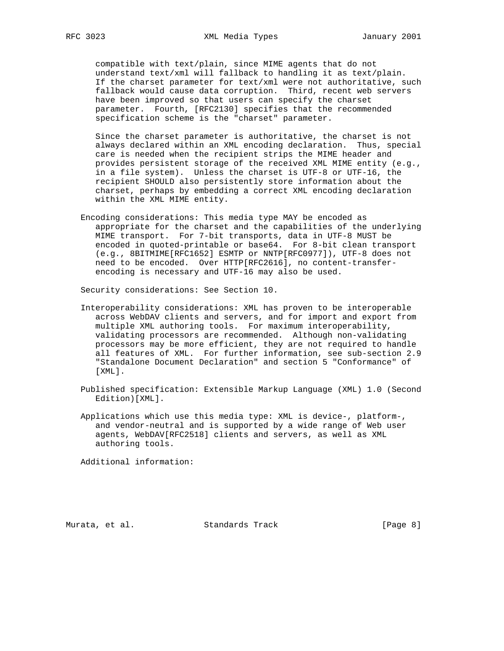compatible with text/plain, since MIME agents that do not understand text/xml will fallback to handling it as text/plain. If the charset parameter for text/xml were not authoritative, such fallback would cause data corruption. Third, recent web servers have been improved so that users can specify the charset parameter. Fourth, [RFC2130] specifies that the recommended specification scheme is the "charset" parameter.

 Since the charset parameter is authoritative, the charset is not always declared within an XML encoding declaration. Thus, special care is needed when the recipient strips the MIME header and provides persistent storage of the received XML MIME entity (e.g., in a file system). Unless the charset is UTF-8 or UTF-16, the recipient SHOULD also persistently store information about the charset, perhaps by embedding a correct XML encoding declaration within the XML MIME entity.

 Encoding considerations: This media type MAY be encoded as appropriate for the charset and the capabilities of the underlying MIME transport. For 7-bit transports, data in UTF-8 MUST be encoded in quoted-printable or base64. For 8-bit clean transport (e.g., 8BITMIME[RFC1652] ESMTP or NNTP[RFC0977]), UTF-8 does not need to be encoded. Over HTTP[RFC2616], no content-transfer encoding is necessary and UTF-16 may also be used.

Security considerations: See Section 10.

- Interoperability considerations: XML has proven to be interoperable across WebDAV clients and servers, and for import and export from multiple XML authoring tools. For maximum interoperability, validating processors are recommended. Although non-validating processors may be more efficient, they are not required to handle all features of XML. For further information, see sub-section 2.9 "Standalone Document Declaration" and section 5 "Conformance" of [XML].
- Published specification: Extensible Markup Language (XML) 1.0 (Second Edition)[XML].
- Applications which use this media type: XML is device-, platform-, and vendor-neutral and is supported by a wide range of Web user agents, WebDAV[RFC2518] clients and servers, as well as XML authoring tools.

Additional information:

Murata, et al. Standards Track (Page 8)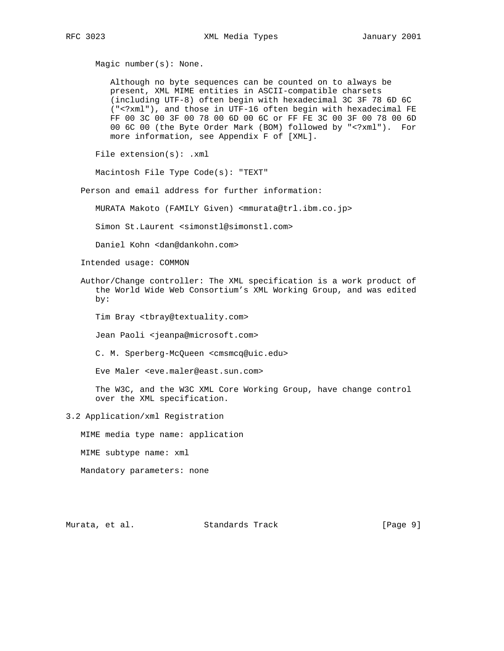Magic number(s): None.

 Although no byte sequences can be counted on to always be present, XML MIME entities in ASCII-compatible charsets (including UTF-8) often begin with hexadecimal 3C 3F 78 6D 6C ("<?xml"), and those in UTF-16 often begin with hexadecimal FE FF 00 3C 00 3F 00 78 00 6D 00 6C or FF FE 3C 00 3F 00 78 00 6D 00 6C 00 (the Byte Order Mark (BOM) followed by "<?xml"). For more information, see Appendix F of [XML].

File extension(s): .xml

Macintosh File Type Code(s): "TEXT"

Person and email address for further information:

MURATA Makoto (FAMILY Given) <mmurata@trl.ibm.co.jp>

Simon St.Laurent <simonstl@simonstl.com>

Daniel Kohn <dan@dankohn.com>

Intended usage: COMMON

 Author/Change controller: The XML specification is a work product of the World Wide Web Consortium's XML Working Group, and was edited by:

Tim Bray <tbray@textuality.com>

Jean Paoli <jeanpa@microsoft.com>

C. M. Sperberg-McQueen <cmsmcq@uic.edu>

Eve Maler <eve.maler@east.sun.com>

 The W3C, and the W3C XML Core Working Group, have change control over the XML specification.

# 3.2 Application/xml Registration

MIME media type name: application

MIME subtype name: xml

Mandatory parameters: none

Murata, et al. Standards Track (Page 9)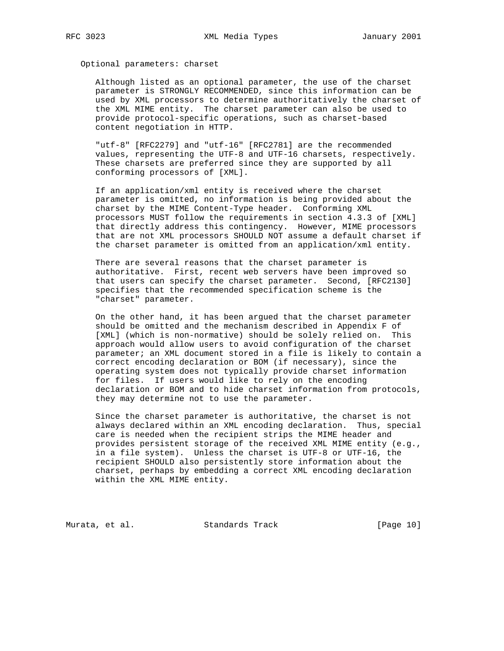Optional parameters: charset

 Although listed as an optional parameter, the use of the charset parameter is STRONGLY RECOMMENDED, since this information can be used by XML processors to determine authoritatively the charset of the XML MIME entity. The charset parameter can also be used to provide protocol-specific operations, such as charset-based content negotiation in HTTP.

 "utf-8" [RFC2279] and "utf-16" [RFC2781] are the recommended values, representing the UTF-8 and UTF-16 charsets, respectively. These charsets are preferred since they are supported by all conforming processors of [XML].

 If an application/xml entity is received where the charset parameter is omitted, no information is being provided about the charset by the MIME Content-Type header. Conforming XML processors MUST follow the requirements in section 4.3.3 of [XML] that directly address this contingency. However, MIME processors that are not XML processors SHOULD NOT assume a default charset if the charset parameter is omitted from an application/xml entity.

 There are several reasons that the charset parameter is authoritative. First, recent web servers have been improved so that users can specify the charset parameter. Second, [RFC2130] specifies that the recommended specification scheme is the "charset" parameter.

 On the other hand, it has been argued that the charset parameter should be omitted and the mechanism described in Appendix F of [XML] (which is non-normative) should be solely relied on. This approach would allow users to avoid configuration of the charset parameter; an XML document stored in a file is likely to contain a correct encoding declaration or BOM (if necessary), since the operating system does not typically provide charset information for files. If users would like to rely on the encoding declaration or BOM and to hide charset information from protocols, they may determine not to use the parameter.

 Since the charset parameter is authoritative, the charset is not always declared within an XML encoding declaration. Thus, special care is needed when the recipient strips the MIME header and provides persistent storage of the received XML MIME entity (e.g., in a file system). Unless the charset is UTF-8 or UTF-16, the recipient SHOULD also persistently store information about the charset, perhaps by embedding a correct XML encoding declaration within the XML MIME entity.

Murata, et al. Standards Track [Page 10]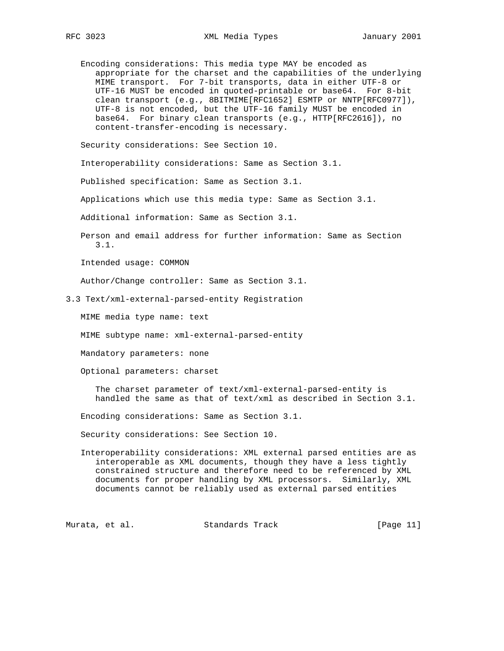Encoding considerations: This media type MAY be encoded as appropriate for the charset and the capabilities of the underlying MIME transport. For 7-bit transports, data in either UTF-8 or UTF-16 MUST be encoded in quoted-printable or base64. For 8-bit clean transport (e.g., 8BITMIME[RFC1652] ESMTP or NNTP[RFC0977]), UTF-8 is not encoded, but the UTF-16 family MUST be encoded in base64. For binary clean transports (e.g., HTTP[RFC2616]), no content-transfer-encoding is necessary.

Security considerations: See Section 10.

Interoperability considerations: Same as Section 3.1.

Published specification: Same as Section 3.1.

Applications which use this media type: Same as Section 3.1.

Additional information: Same as Section 3.1.

 Person and email address for further information: Same as Section 3.1.

Intended usage: COMMON

Author/Change controller: Same as Section 3.1.

3.3 Text/xml-external-parsed-entity Registration

MIME media type name: text

MIME subtype name: xml-external-parsed-entity

Mandatory parameters: none

Optional parameters: charset

 The charset parameter of text/xml-external-parsed-entity is handled the same as that of text/xml as described in Section 3.1.

Encoding considerations: Same as Section 3.1.

Security considerations: See Section 10.

 Interoperability considerations: XML external parsed entities are as interoperable as XML documents, though they have a less tightly constrained structure and therefore need to be referenced by XML documents for proper handling by XML processors. Similarly, XML documents cannot be reliably used as external parsed entities

Murata, et al. Standards Track [Page 11]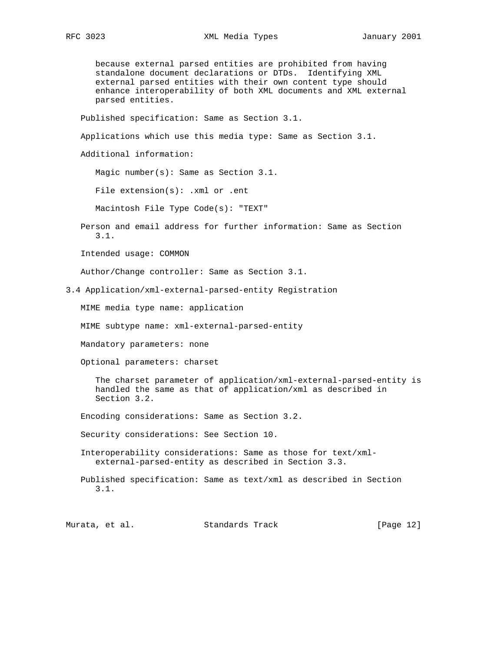because external parsed entities are prohibited from having standalone document declarations or DTDs. Identifying XML external parsed entities with their own content type should enhance interoperability of both XML documents and XML external parsed entities.

Published specification: Same as Section 3.1.

Applications which use this media type: Same as Section 3.1.

Additional information:

Magic number(s): Same as Section 3.1.

File extension(s): .xml or .ent

Macintosh File Type Code(s): "TEXT"

 Person and email address for further information: Same as Section 3.1.

Intended usage: COMMON

Author/Change controller: Same as Section 3.1.

3.4 Application/xml-external-parsed-entity Registration

MIME media type name: application

MIME subtype name: xml-external-parsed-entity

Mandatory parameters: none

Optional parameters: charset

 The charset parameter of application/xml-external-parsed-entity is handled the same as that of application/xml as described in Section 3.2.

Encoding considerations: Same as Section 3.2.

Security considerations: See Section 10.

 Interoperability considerations: Same as those for text/xml external-parsed-entity as described in Section 3.3.

 Published specification: Same as text/xml as described in Section 3.1.

Murata, et al. Standards Track [Page 12]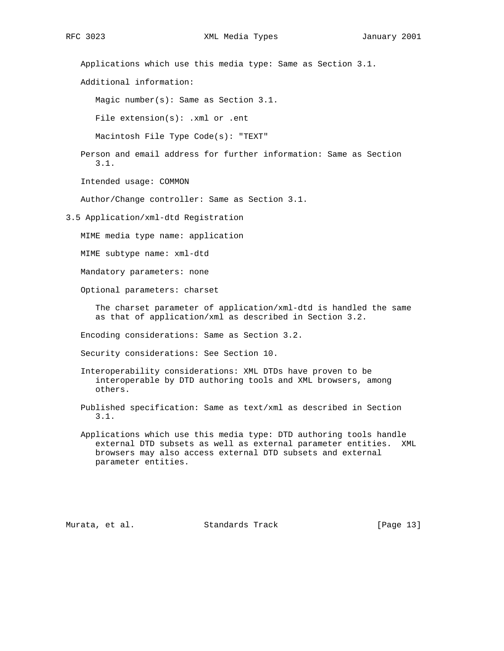Applications which use this media type: Same as Section 3.1.

Additional information:

Magic number(s): Same as Section 3.1.

File extension(s): .xml or .ent

Macintosh File Type Code(s): "TEXT"

 Person and email address for further information: Same as Section 3.1.

Intended usage: COMMON

Author/Change controller: Same as Section 3.1.

3.5 Application/xml-dtd Registration

MIME media type name: application

MIME subtype name: xml-dtd

Mandatory parameters: none

Optional parameters: charset

 The charset parameter of application/xml-dtd is handled the same as that of application/xml as described in Section 3.2.

Encoding considerations: Same as Section 3.2.

Security considerations: See Section 10.

- Interoperability considerations: XML DTDs have proven to be interoperable by DTD authoring tools and XML browsers, among others.
- Published specification: Same as text/xml as described in Section 3.1.
- Applications which use this media type: DTD authoring tools handle external DTD subsets as well as external parameter entities. XML browsers may also access external DTD subsets and external parameter entities.

Murata, et al. Standards Track [Page 13]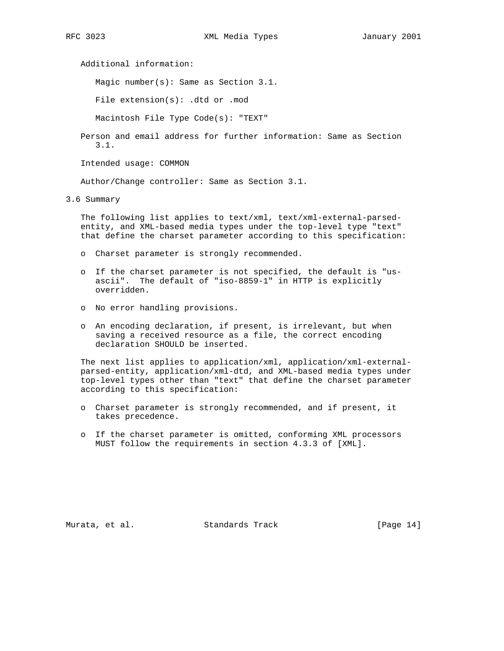Additional information:

Magic number(s): Same as Section 3.1.

File extension(s): .dtd or .mod

Macintosh File Type Code(s): "TEXT"

 Person and email address for further information: Same as Section 3.1.

Intended usage: COMMON

Author/Change controller: Same as Section 3.1.

3.6 Summary

 The following list applies to text/xml, text/xml-external-parsed entity, and XML-based media types under the top-level type "text" that define the charset parameter according to this specification:

- o Charset parameter is strongly recommended.
- o If the charset parameter is not specified, the default is "us ascii". The default of "iso-8859-1" in HTTP is explicitly overridden.
- o No error handling provisions.
- o An encoding declaration, if present, is irrelevant, but when saving a received resource as a file, the correct encoding declaration SHOULD be inserted.

 The next list applies to application/xml, application/xml-external parsed-entity, application/xml-dtd, and XML-based media types under top-level types other than "text" that define the charset parameter according to this specification:

- o Charset parameter is strongly recommended, and if present, it takes precedence.
- o If the charset parameter is omitted, conforming XML processors MUST follow the requirements in section 4.3.3 of [XML].

Murata, et al. Standards Track [Page 14]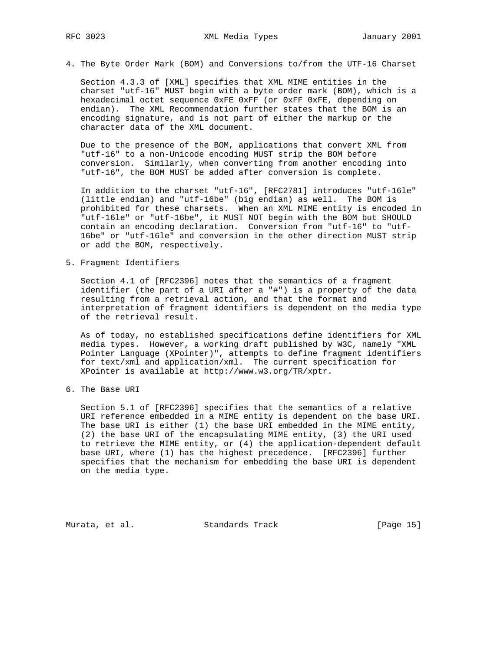4. The Byte Order Mark (BOM) and Conversions to/from the UTF-16 Charset

 Section 4.3.3 of [XML] specifies that XML MIME entities in the charset "utf-16" MUST begin with a byte order mark (BOM), which is a hexadecimal octet sequence 0xFE 0xFF (or 0xFF 0xFE, depending on endian). The XML Recommendation further states that the BOM is an encoding signature, and is not part of either the markup or the character data of the XML document.

 Due to the presence of the BOM, applications that convert XML from "utf-16" to a non-Unicode encoding MUST strip the BOM before conversion. Similarly, when converting from another encoding into "utf-16", the BOM MUST be added after conversion is complete.

 In addition to the charset "utf-16", [RFC2781] introduces "utf-16le" (little endian) and "utf-16be" (big endian) as well. The BOM is prohibited for these charsets. When an XML MIME entity is encoded in "utf-16le" or "utf-16be", it MUST NOT begin with the BOM but SHOULD contain an encoding declaration. Conversion from "utf-16" to "utf- 16be" or "utf-16le" and conversion in the other direction MUST strip or add the BOM, respectively.

5. Fragment Identifiers

 Section 4.1 of [RFC2396] notes that the semantics of a fragment identifier (the part of a URI after a "#") is a property of the data resulting from a retrieval action, and that the format and interpretation of fragment identifiers is dependent on the media type of the retrieval result.

 As of today, no established specifications define identifiers for XML media types. However, a working draft published by W3C, namely "XML Pointer Language (XPointer)", attempts to define fragment identifiers for text/xml and application/xml. The current specification for XPointer is available at http://www.w3.org/TR/xptr.

6. The Base URI

 Section 5.1 of [RFC2396] specifies that the semantics of a relative URI reference embedded in a MIME entity is dependent on the base URI. The base URI is either (1) the base URI embedded in the MIME entity, (2) the base URI of the encapsulating MIME entity, (3) the URI used to retrieve the MIME entity, or (4) the application-dependent default base URI, where (1) has the highest precedence. [RFC2396] further specifies that the mechanism for embedding the base URI is dependent on the media type.

Murata, et al. Standards Track [Page 15]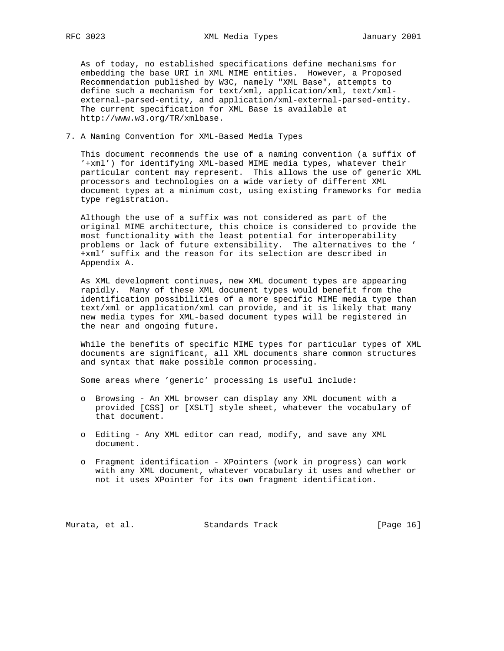As of today, no established specifications define mechanisms for embedding the base URI in XML MIME entities. However, a Proposed Recommendation published by W3C, namely "XML Base", attempts to define such a mechanism for text/xml, application/xml, text/xml external-parsed-entity, and application/xml-external-parsed-entity. The current specification for XML Base is available at http://www.w3.org/TR/xmlbase.

# 7. A Naming Convention for XML-Based Media Types

 This document recommends the use of a naming convention (a suffix of '+xml') for identifying XML-based MIME media types, whatever their particular content may represent. This allows the use of generic XML processors and technologies on a wide variety of different XML document types at a minimum cost, using existing frameworks for media type registration.

 Although the use of a suffix was not considered as part of the original MIME architecture, this choice is considered to provide the most functionality with the least potential for interoperability problems or lack of future extensibility. The alternatives to the ' +xml' suffix and the reason for its selection are described in Appendix A.

 As XML development continues, new XML document types are appearing rapidly. Many of these XML document types would benefit from the identification possibilities of a more specific MIME media type than text/xml or application/xml can provide, and it is likely that many new media types for XML-based document types will be registered in the near and ongoing future.

 While the benefits of specific MIME types for particular types of XML documents are significant, all XML documents share common structures and syntax that make possible common processing.

Some areas where 'generic' processing is useful include:

- o Browsing An XML browser can display any XML document with a provided [CSS] or [XSLT] style sheet, whatever the vocabulary of that document.
- o Editing Any XML editor can read, modify, and save any XML document.
- o Fragment identification XPointers (work in progress) can work with any XML document, whatever vocabulary it uses and whether or not it uses XPointer for its own fragment identification.

Murata, et al. Standards Track [Page 16]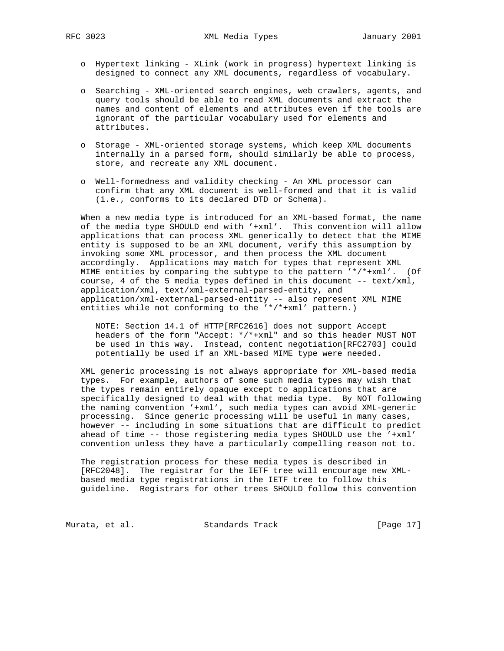- o Hypertext linking XLink (work in progress) hypertext linking is designed to connect any XML documents, regardless of vocabulary.
- o Searching XML-oriented search engines, web crawlers, agents, and query tools should be able to read XML documents and extract the names and content of elements and attributes even if the tools are ignorant of the particular vocabulary used for elements and attributes.
- o Storage XML-oriented storage systems, which keep XML documents internally in a parsed form, should similarly be able to process, store, and recreate any XML document.
- o Well-formedness and validity checking An XML processor can confirm that any XML document is well-formed and that it is valid (i.e., conforms to its declared DTD or Schema).

 When a new media type is introduced for an XML-based format, the name of the media type SHOULD end with '+xml'. This convention will allow applications that can process XML generically to detect that the MIME entity is supposed to be an XML document, verify this assumption by invoking some XML processor, and then process the XML document accordingly. Applications may match for types that represent XML MIME entities by comparing the subtype to the pattern '\*/\*+xml'. (Of course, 4 of the 5 media types defined in this document -- text/xml, application/xml, text/xml-external-parsed-entity, and application/xml-external-parsed-entity -- also represent XML MIME entities while not conforming to the '\*/\*+xml' pattern.)

 NOTE: Section 14.1 of HTTP[RFC2616] does not support Accept headers of the form "Accept: \*/\*+xml" and so this header MUST NOT be used in this way. Instead, content negotiation[RFC2703] could potentially be used if an XML-based MIME type were needed.

 XML generic processing is not always appropriate for XML-based media types. For example, authors of some such media types may wish that the types remain entirely opaque except to applications that are specifically designed to deal with that media type. By NOT following the naming convention '+xml', such media types can avoid XML-generic processing. Since generic processing will be useful in many cases, however -- including in some situations that are difficult to predict ahead of time -- those registering media types SHOULD use the '+xml' convention unless they have a particularly compelling reason not to.

 The registration process for these media types is described in [RFC2048]. The registrar for the IETF tree will encourage new XML based media type registrations in the IETF tree to follow this guideline. Registrars for other trees SHOULD follow this convention

Murata, et al. Standards Track [Page 17]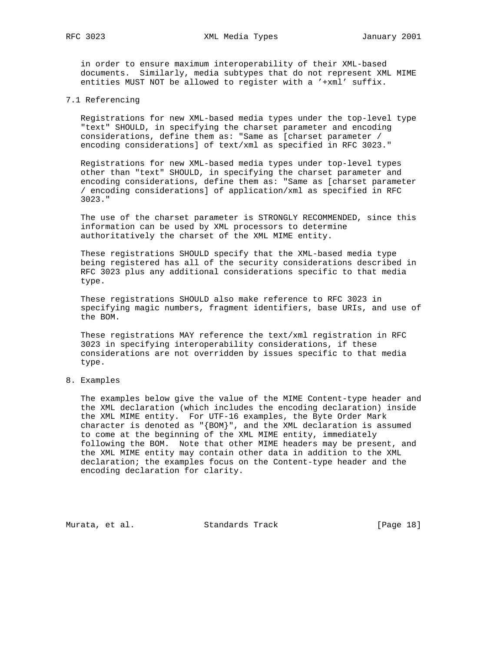RFC 3023 XML Media Types January 2001

 in order to ensure maximum interoperability of their XML-based documents. Similarly, media subtypes that do not represent XML MIME entities MUST NOT be allowed to register with a '+xml' suffix.

# 7.1 Referencing

 Registrations for new XML-based media types under the top-level type "text" SHOULD, in specifying the charset parameter and encoding considerations, define them as: "Same as [charset parameter / encoding considerations] of text/xml as specified in RFC 3023."

 Registrations for new XML-based media types under top-level types other than "text" SHOULD, in specifying the charset parameter and encoding considerations, define them as: "Same as [charset parameter / encoding considerations] of application/xml as specified in RFC 3023."

 The use of the charset parameter is STRONGLY RECOMMENDED, since this information can be used by XML processors to determine authoritatively the charset of the XML MIME entity.

 These registrations SHOULD specify that the XML-based media type being registered has all of the security considerations described in RFC 3023 plus any additional considerations specific to that media type.

 These registrations SHOULD also make reference to RFC 3023 in specifying magic numbers, fragment identifiers, base URIs, and use of the BOM.

 These registrations MAY reference the text/xml registration in RFC 3023 in specifying interoperability considerations, if these considerations are not overridden by issues specific to that media type.

# 8. Examples

 The examples below give the value of the MIME Content-type header and the XML declaration (which includes the encoding declaration) inside the XML MIME entity. For UTF-16 examples, the Byte Order Mark character is denoted as "{BOM}", and the XML declaration is assumed to come at the beginning of the XML MIME entity, immediately following the BOM. Note that other MIME headers may be present, and the XML MIME entity may contain other data in addition to the XML declaration; the examples focus on the Content-type header and the encoding declaration for clarity.

Murata, et al. Standards Track [Page 18]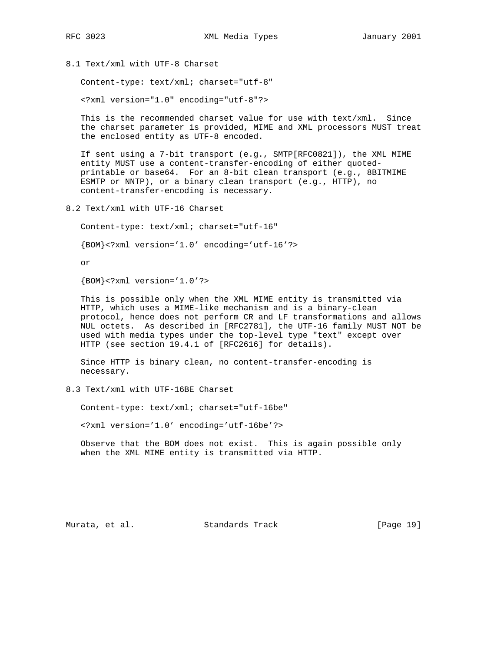8.1 Text/xml with UTF-8 Charset

Content-type: text/xml; charset="utf-8"

<?xml version="1.0" encoding="utf-8"?>

 This is the recommended charset value for use with text/xml. Since the charset parameter is provided, MIME and XML processors MUST treat the enclosed entity as UTF-8 encoded.

 If sent using a 7-bit transport (e.g., SMTP[RFC0821]), the XML MIME entity MUST use a content-transfer-encoding of either quoted printable or base64. For an 8-bit clean transport (e.g., 8BITMIME ESMTP or NNTP), or a binary clean transport (e.g., HTTP), no content-transfer-encoding is necessary.

8.2 Text/xml with UTF-16 Charset

Content-type: text/xml; charset="utf-16"

{BOM}<?xml version='1.0' encoding='utf-16'?>

or

{BOM}<?xml version='1.0'?>

 This is possible only when the XML MIME entity is transmitted via HTTP, which uses a MIME-like mechanism and is a binary-clean protocol, hence does not perform CR and LF transformations and allows NUL octets. As described in [RFC2781], the UTF-16 family MUST NOT be used with media types under the top-level type "text" except over HTTP (see section 19.4.1 of [RFC2616] for details).

 Since HTTP is binary clean, no content-transfer-encoding is necessary.

8.3 Text/xml with UTF-16BE Charset

Content-type: text/xml; charset="utf-16be"

<?xml version='1.0' encoding='utf-16be'?>

 Observe that the BOM does not exist. This is again possible only when the XML MIME entity is transmitted via HTTP.

Murata, et al. Standards Track [Page 19]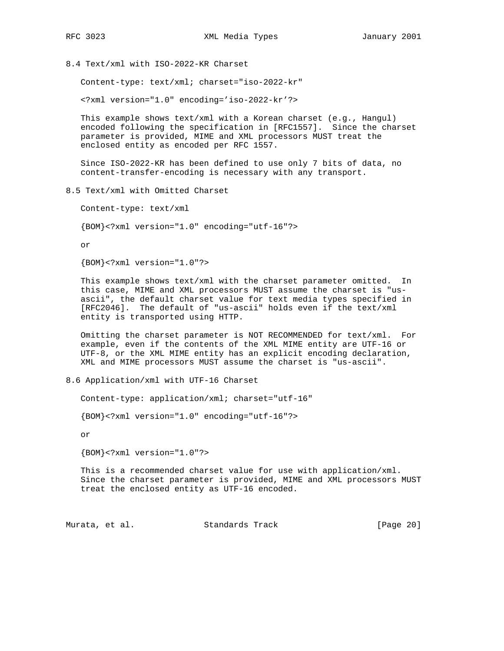8.4 Text/xml with ISO-2022-KR Charset

Content-type: text/xml; charset="iso-2022-kr"

<?xml version="1.0" encoding='iso-2022-kr'?>

 This example shows text/xml with a Korean charset (e.g., Hangul) encoded following the specification in [RFC1557]. Since the charset parameter is provided, MIME and XML processors MUST treat the enclosed entity as encoded per RFC 1557.

 Since ISO-2022-KR has been defined to use only 7 bits of data, no content-transfer-encoding is necessary with any transport.

8.5 Text/xml with Omitted Charset

Content-type: text/xml

{BOM}<?xml version="1.0" encoding="utf-16"?>

or

{BOM}<?xml version="1.0"?>

 This example shows text/xml with the charset parameter omitted. In this case, MIME and XML processors MUST assume the charset is "us ascii", the default charset value for text media types specified in [RFC2046]. The default of "us-ascii" holds even if the text/xml entity is transported using HTTP.

 Omitting the charset parameter is NOT RECOMMENDED for text/xml. For example, even if the contents of the XML MIME entity are UTF-16 or UTF-8, or the XML MIME entity has an explicit encoding declaration, XML and MIME processors MUST assume the charset is "us-ascii".

8.6 Application/xml with UTF-16 Charset

Content-type: application/xml; charset="utf-16"

{BOM}<?xml version="1.0" encoding="utf-16"?>

or

{BOM}<?xml version="1.0"?>

 This is a recommended charset value for use with application/xml. Since the charset parameter is provided, MIME and XML processors MUST treat the enclosed entity as UTF-16 encoded.

Murata, et al. Standards Track [Page 20]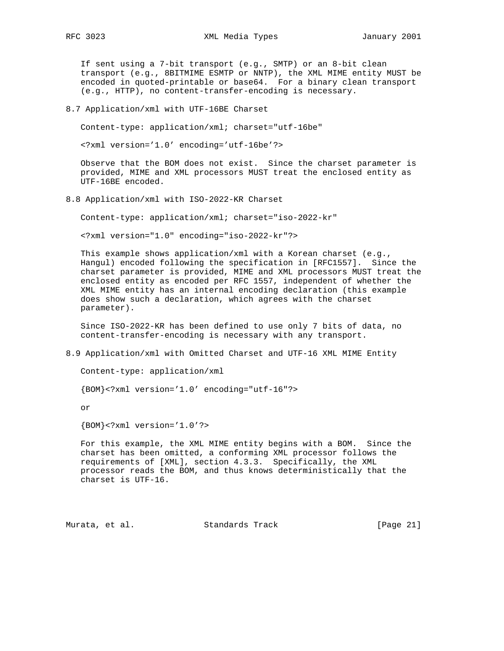If sent using a 7-bit transport (e.g., SMTP) or an 8-bit clean transport (e.g., 8BITMIME ESMTP or NNTP), the XML MIME entity MUST be encoded in quoted-printable or base64. For a binary clean transport (e.g., HTTP), no content-transfer-encoding is necessary.

8.7 Application/xml with UTF-16BE Charset

Content-type: application/xml; charset="utf-16be"

<?xml version='1.0' encoding='utf-16be'?>

 Observe that the BOM does not exist. Since the charset parameter is provided, MIME and XML processors MUST treat the enclosed entity as UTF-16BE encoded.

8.8 Application/xml with ISO-2022-KR Charset

Content-type: application/xml; charset="iso-2022-kr"

<?xml version="1.0" encoding="iso-2022-kr"?>

This example shows application/xml with a Korean charset (e.g., Hangul) encoded following the specification in [RFC1557]. Since the charset parameter is provided, MIME and XML processors MUST treat the enclosed entity as encoded per RFC 1557, independent of whether the XML MIME entity has an internal encoding declaration (this example does show such a declaration, which agrees with the charset parameter).

 Since ISO-2022-KR has been defined to use only 7 bits of data, no content-transfer-encoding is necessary with any transport.

8.9 Application/xml with Omitted Charset and UTF-16 XML MIME Entity

Content-type: application/xml

{BOM}<?xml version='1.0' encoding="utf-16"?>

or

{BOM}<?xml version='1.0'?>

 For this example, the XML MIME entity begins with a BOM. Since the charset has been omitted, a conforming XML processor follows the requirements of [XML], section 4.3.3. Specifically, the XML processor reads the BOM, and thus knows deterministically that the charset is UTF-16.

Murata, et al. Standards Track [Page 21]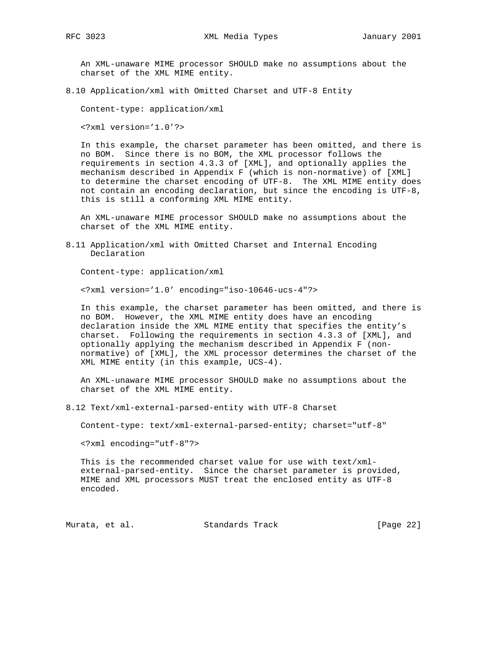An XML-unaware MIME processor SHOULD make no assumptions about the charset of the XML MIME entity.

8.10 Application/xml with Omitted Charset and UTF-8 Entity

Content-type: application/xml

<?xml version='1.0'?>

 In this example, the charset parameter has been omitted, and there is no BOM. Since there is no BOM, the XML processor follows the requirements in section 4.3.3 of [XML], and optionally applies the mechanism described in Appendix F (which is non-normative) of [XML] to determine the charset encoding of UTF-8. The XML MIME entity does not contain an encoding declaration, but since the encoding is UTF-8, this is still a conforming XML MIME entity.

 An XML-unaware MIME processor SHOULD make no assumptions about the charset of the XML MIME entity.

8.11 Application/xml with Omitted Charset and Internal Encoding Declaration

Content-type: application/xml

<?xml version='1.0' encoding="iso-10646-ucs-4"?>

 In this example, the charset parameter has been omitted, and there is no BOM. However, the XML MIME entity does have an encoding declaration inside the XML MIME entity that specifies the entity's charset. Following the requirements in section 4.3.3 of [XML], and optionally applying the mechanism described in Appendix F (non normative) of [XML], the XML processor determines the charset of the XML MIME entity (in this example, UCS-4).

 An XML-unaware MIME processor SHOULD make no assumptions about the charset of the XML MIME entity.

8.12 Text/xml-external-parsed-entity with UTF-8 Charset

Content-type: text/xml-external-parsed-entity; charset="utf-8"

<?xml encoding="utf-8"?>

 This is the recommended charset value for use with text/xml external-parsed-entity. Since the charset parameter is provided, MIME and XML processors MUST treat the enclosed entity as UTF-8 encoded.

Murata, et al. Standards Track [Page 22]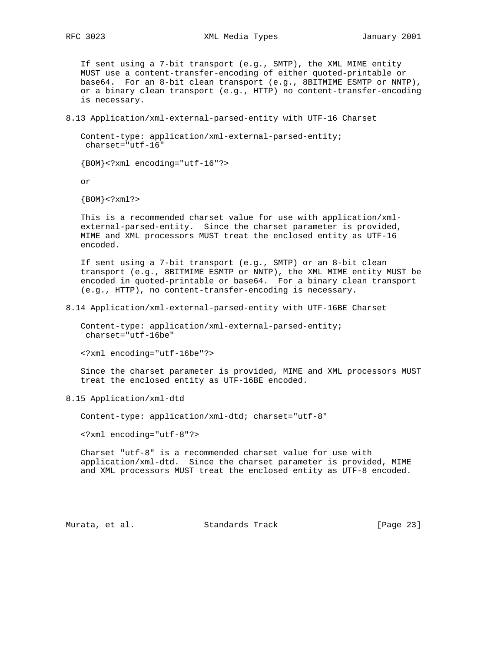If sent using a 7-bit transport (e.g., SMTP), the XML MIME entity MUST use a content-transfer-encoding of either quoted-printable or base64. For an 8-bit clean transport (e.g., 8BITMIME ESMTP or NNTP), or a binary clean transport (e.g., HTTP) no content-transfer-encoding is necessary.

8.13 Application/xml-external-parsed-entity with UTF-16 Charset

 Content-type: application/xml-external-parsed-entity; charset="utf-16"

{BOM}<?xml encoding="utf-16"?>

or

 ${BOM} < ?xm1?$ 

 This is a recommended charset value for use with application/xml external-parsed-entity. Since the charset parameter is provided, MIME and XML processors MUST treat the enclosed entity as UTF-16 encoded.

 If sent using a 7-bit transport (e.g., SMTP) or an 8-bit clean transport (e.g., 8BITMIME ESMTP or NNTP), the XML MIME entity MUST be encoded in quoted-printable or base64. For a binary clean transport (e.g., HTTP), no content-transfer-encoding is necessary.

8.14 Application/xml-external-parsed-entity with UTF-16BE Charset

 Content-type: application/xml-external-parsed-entity; charset="utf-16be"

<?xml encoding="utf-16be"?>

 Since the charset parameter is provided, MIME and XML processors MUST treat the enclosed entity as UTF-16BE encoded.

8.15 Application/xml-dtd

Content-type: application/xml-dtd; charset="utf-8"

<?xml encoding="utf-8"?>

 Charset "utf-8" is a recommended charset value for use with application/xml-dtd. Since the charset parameter is provided, MIME and XML processors MUST treat the enclosed entity as UTF-8 encoded.

Murata, et al. Standards Track [Page 23]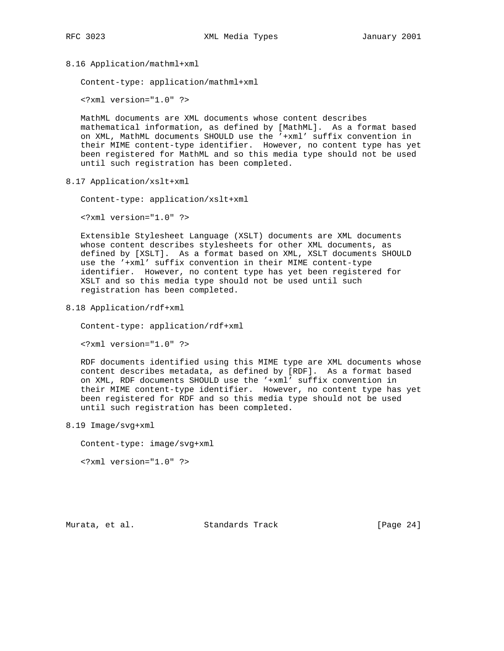8.16 Application/mathml+xml

Content-type: application/mathml+xml

<?xml version="1.0" ?>

 MathML documents are XML documents whose content describes mathematical information, as defined by [MathML]. As a format based on XML, MathML documents SHOULD use the '+xml' suffix convention in their MIME content-type identifier. However, no content type has yet been registered for MathML and so this media type should not be used until such registration has been completed.

8.17 Application/xslt+xml

Content-type: application/xslt+xml

<?xml version="1.0" ?>

 Extensible Stylesheet Language (XSLT) documents are XML documents whose content describes stylesheets for other XML documents, as defined by [XSLT]. As a format based on XML, XSLT documents SHOULD use the '+xml' suffix convention in their MIME content-type identifier. However, no content type has yet been registered for XSLT and so this media type should not be used until such registration has been completed.

8.18 Application/rdf+xml

Content-type: application/rdf+xml

<?xml version="1.0" ?>

 RDF documents identified using this MIME type are XML documents whose content describes metadata, as defined by [RDF]. As a format based on XML, RDF documents SHOULD use the '+xml' suffix convention in their MIME content-type identifier. However, no content type has yet been registered for RDF and so this media type should not be used until such registration has been completed.

8.19 Image/svg+xml

Content-type: image/svg+xml

<?xml version="1.0" ?>

Murata, et al. Standards Track [Page 24]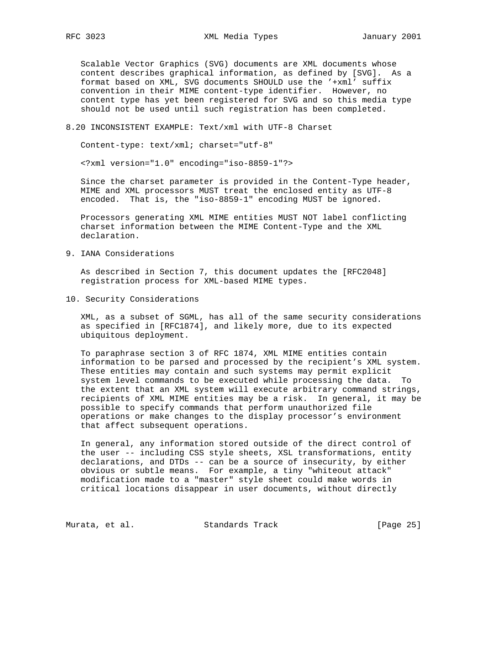Scalable Vector Graphics (SVG) documents are XML documents whose content describes graphical information, as defined by [SVG]. As a format based on XML, SVG documents SHOULD use the '+xml' suffix convention in their MIME content-type identifier. However, no content type has yet been registered for SVG and so this media type should not be used until such registration has been completed.

## 8.20 INCONSISTENT EXAMPLE: Text/xml with UTF-8 Charset

Content-type: text/xml; charset="utf-8"

<?xml version="1.0" encoding="iso-8859-1"?>

 Since the charset parameter is provided in the Content-Type header, MIME and XML processors MUST treat the enclosed entity as UTF-8 encoded. That is, the "iso-8859-1" encoding MUST be ignored.

 Processors generating XML MIME entities MUST NOT label conflicting charset information between the MIME Content-Type and the XML declaration.

9. IANA Considerations

 As described in Section 7, this document updates the [RFC2048] registration process for XML-based MIME types.

10. Security Considerations

 XML, as a subset of SGML, has all of the same security considerations as specified in [RFC1874], and likely more, due to its expected ubiquitous deployment.

 To paraphrase section 3 of RFC 1874, XML MIME entities contain information to be parsed and processed by the recipient's XML system. These entities may contain and such systems may permit explicit system level commands to be executed while processing the data. To the extent that an XML system will execute arbitrary command strings, recipients of XML MIME entities may be a risk. In general, it may be possible to specify commands that perform unauthorized file operations or make changes to the display processor's environment that affect subsequent operations.

 In general, any information stored outside of the direct control of the user -- including CSS style sheets, XSL transformations, entity declarations, and DTDs -- can be a source of insecurity, by either obvious or subtle means. For example, a tiny "whiteout attack" modification made to a "master" style sheet could make words in critical locations disappear in user documents, without directly

Murata, et al. Standards Track [Page 25]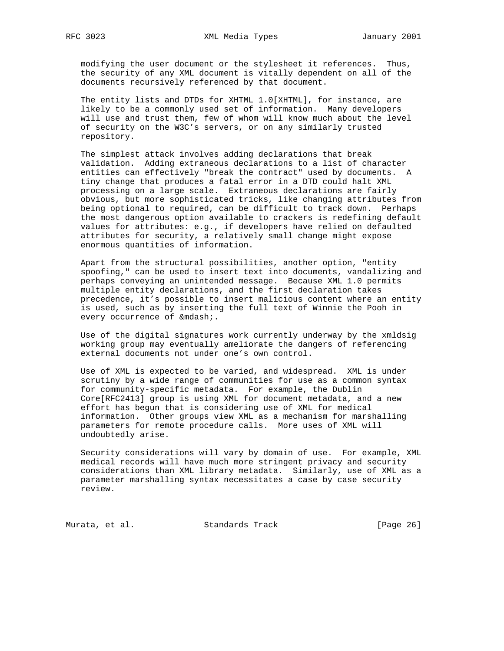modifying the user document or the stylesheet it references. Thus, the security of any XML document is vitally dependent on all of the documents recursively referenced by that document.

 The entity lists and DTDs for XHTML 1.0[XHTML], for instance, are likely to be a commonly used set of information. Many developers will use and trust them, few of whom will know much about the level of security on the W3C's servers, or on any similarly trusted repository.

 The simplest attack involves adding declarations that break validation. Adding extraneous declarations to a list of character entities can effectively "break the contract" used by documents. A tiny change that produces a fatal error in a DTD could halt XML processing on a large scale. Extraneous declarations are fairly obvious, but more sophisticated tricks, like changing attributes from being optional to required, can be difficult to track down. Perhaps the most dangerous option available to crackers is redefining default values for attributes: e.g., if developers have relied on defaulted attributes for security, a relatively small change might expose enormous quantities of information.

 Apart from the structural possibilities, another option, "entity spoofing," can be used to insert text into documents, vandalizing and perhaps conveying an unintended message. Because XML 1.0 permits multiple entity declarations, and the first declaration takes precedence, it's possible to insert malicious content where an entity is used, such as by inserting the full text of Winnie the Pooh in every occurrence of —.

 Use of the digital signatures work currently underway by the xmldsig working group may eventually ameliorate the dangers of referencing external documents not under one's own control.

 Use of XML is expected to be varied, and widespread. XML is under scrutiny by a wide range of communities for use as a common syntax for community-specific metadata. For example, the Dublin Core[RFC2413] group is using XML for document metadata, and a new effort has begun that is considering use of XML for medical information. Other groups view XML as a mechanism for marshalling parameters for remote procedure calls. More uses of XML will undoubtedly arise.

 Security considerations will vary by domain of use. For example, XML medical records will have much more stringent privacy and security considerations than XML library metadata. Similarly, use of XML as a parameter marshalling syntax necessitates a case by case security review.

Murata, et al. Standards Track [Page 26]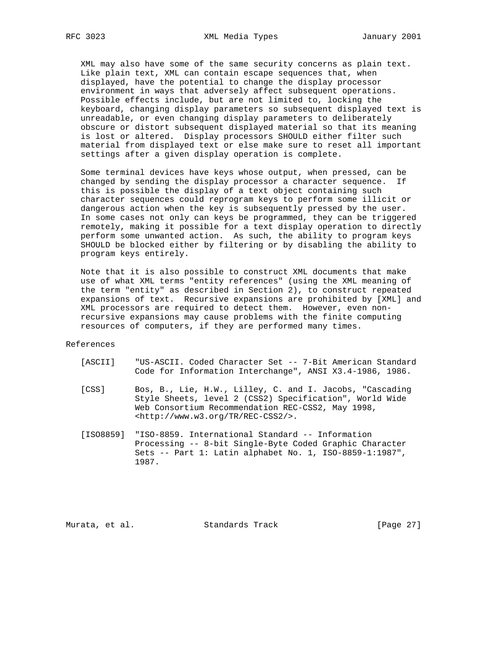XML may also have some of the same security concerns as plain text. Like plain text, XML can contain escape sequences that, when displayed, have the potential to change the display processor environment in ways that adversely affect subsequent operations. Possible effects include, but are not limited to, locking the keyboard, changing display parameters so subsequent displayed text is unreadable, or even changing display parameters to deliberately obscure or distort subsequent displayed material so that its meaning is lost or altered. Display processors SHOULD either filter such material from displayed text or else make sure to reset all important settings after a given display operation is complete.

 Some terminal devices have keys whose output, when pressed, can be changed by sending the display processor a character sequence. If this is possible the display of a text object containing such character sequences could reprogram keys to perform some illicit or dangerous action when the key is subsequently pressed by the user. In some cases not only can keys be programmed, they can be triggered remotely, making it possible for a text display operation to directly perform some unwanted action. As such, the ability to program keys SHOULD be blocked either by filtering or by disabling the ability to program keys entirely.

 Note that it is also possible to construct XML documents that make use of what XML terms "entity references" (using the XML meaning of the term "entity" as described in Section 2), to construct repeated expansions of text. Recursive expansions are prohibited by [XML] and XML processors are required to detect them. However, even non recursive expansions may cause problems with the finite computing resources of computers, if they are performed many times.

References

- [ASCII] "US-ASCII. Coded Character Set -- 7-Bit American Standard Code for Information Interchange", ANSI X3.4-1986, 1986.
- [CSS] Bos, B., Lie, H.W., Lilley, C. and I. Jacobs, "Cascading Style Sheets, level 2 (CSS2) Specification", World Wide Web Consortium Recommendation REC-CSS2, May 1998, <http://www.w3.org/TR/REC-CSS2/>.
- [ISO8859] "ISO-8859. International Standard -- Information Processing -- 8-bit Single-Byte Coded Graphic Character Sets -- Part 1: Latin alphabet No. 1, ISO-8859-1:1987", 1987.

Murata, et al. Standards Track [Page 27]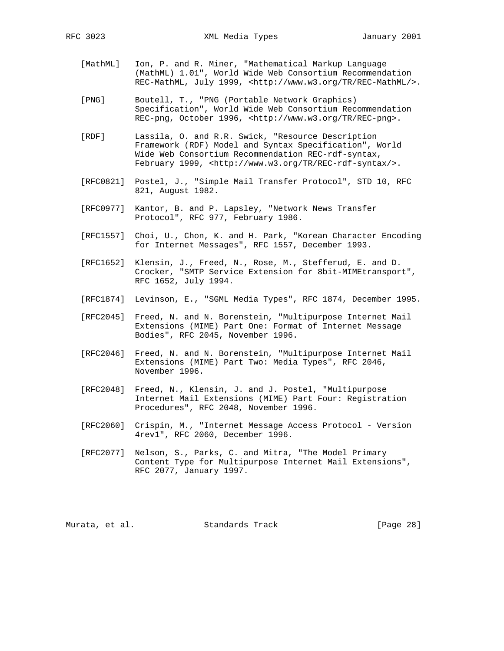- [MathML] Ion, P. and R. Miner, "Mathematical Markup Language (MathML) 1.01", World Wide Web Consortium Recommendation REC-MathML, July 1999, <http://www.w3.org/TR/REC-MathML/>.
- [PNG] Boutell, T., "PNG (Portable Network Graphics) Specification", World Wide Web Consortium Recommendation REC-png, October 1996, <http://www.w3.org/TR/REC-png>.
- [RDF] Lassila, O. and R.R. Swick, "Resource Description Framework (RDF) Model and Syntax Specification", World Wide Web Consortium Recommendation REC-rdf-syntax, February 1999, <http://www.w3.org/TR/REC-rdf-syntax/>.
- [RFC0821] Postel, J., "Simple Mail Transfer Protocol", STD 10, RFC 821, August 1982.
- [RFC0977] Kantor, B. and P. Lapsley, "Network News Transfer Protocol", RFC 977, February 1986.
- [RFC1557] Choi, U., Chon, K. and H. Park, "Korean Character Encoding for Internet Messages", RFC 1557, December 1993.
- [RFC1652] Klensin, J., Freed, N., Rose, M., Stefferud, E. and D. Crocker, "SMTP Service Extension for 8bit-MIMEtransport", RFC 1652, July 1994.
- [RFC1874] Levinson, E., "SGML Media Types", RFC 1874, December 1995.
- [RFC2045] Freed, N. and N. Borenstein, "Multipurpose Internet Mail Extensions (MIME) Part One: Format of Internet Message Bodies", RFC 2045, November 1996.
- [RFC2046] Freed, N. and N. Borenstein, "Multipurpose Internet Mail Extensions (MIME) Part Two: Media Types", RFC 2046, November 1996.
- [RFC2048] Freed, N., Klensin, J. and J. Postel, "Multipurpose Internet Mail Extensions (MIME) Part Four: Registration Procedures", RFC 2048, November 1996.
- [RFC2060] Crispin, M., "Internet Message Access Protocol Version 4rev1", RFC 2060, December 1996.
- [RFC2077] Nelson, S., Parks, C. and Mitra, "The Model Primary Content Type for Multipurpose Internet Mail Extensions", RFC 2077, January 1997.

Murata, et al. Standards Track [Page 28]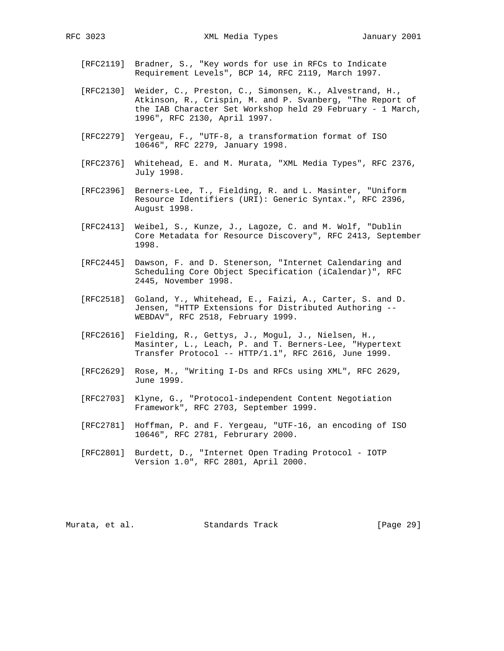- - [RFC2119] Bradner, S., "Key words for use in RFCs to Indicate Requirement Levels", BCP 14, RFC 2119, March 1997.
	- [RFC2130] Weider, C., Preston, C., Simonsen, K., Alvestrand, H., Atkinson, R., Crispin, M. and P. Svanberg, "The Report of the IAB Character Set Workshop held 29 February - 1 March, 1996", RFC 2130, April 1997.
	- [RFC2279] Yergeau, F., "UTF-8, a transformation format of ISO 10646", RFC 2279, January 1998.
	- [RFC2376] Whitehead, E. and M. Murata, "XML Media Types", RFC 2376, July 1998.
	- [RFC2396] Berners-Lee, T., Fielding, R. and L. Masinter, "Uniform Resource Identifiers (URI): Generic Syntax.", RFC 2396, August 1998.
	- [RFC2413] Weibel, S., Kunze, J., Lagoze, C. and M. Wolf, "Dublin Core Metadata for Resource Discovery", RFC 2413, September 1998.
	- [RFC2445] Dawson, F. and D. Stenerson, "Internet Calendaring and Scheduling Core Object Specification (iCalendar)", RFC 2445, November 1998.
	- [RFC2518] Goland, Y., Whitehead, E., Faizi, A., Carter, S. and D. Jensen, "HTTP Extensions for Distributed Authoring -- WEBDAV", RFC 2518, February 1999.
	- [RFC2616] Fielding, R., Gettys, J., Mogul, J., Nielsen, H., Masinter, L., Leach, P. and T. Berners-Lee, "Hypertext Transfer Protocol -- HTTP/1.1", RFC 2616, June 1999.
	- [RFC2629] Rose, M., "Writing I-Ds and RFCs using XML", RFC 2629, June 1999.
- [RFC2703] Klyne, G., "Protocol-independent Content Negotiation Framework", RFC 2703, September 1999.
	- [RFC2781] Hoffman, P. and F. Yergeau, "UTF-16, an encoding of ISO 10646", RFC 2781, Februrary 2000.
	- [RFC2801] Burdett, D., "Internet Open Trading Protocol IOTP Version 1.0", RFC 2801, April 2000.

Murata, et al. Standards Track [Page 29]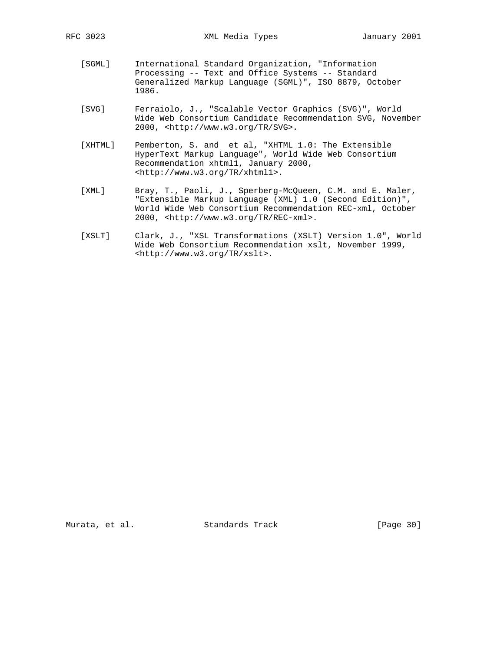- [SGML] International Standard Organization, "Information Processing -- Text and Office Systems -- Standard Generalized Markup Language (SGML)", ISO 8879, October 1986.
- [SVG] Ferraiolo, J., "Scalable Vector Graphics (SVG)", World Wide Web Consortium Candidate Recommendation SVG, November 2000, <http://www.w3.org/TR/SVG>.
- [XHTML] Pemberton, S. and et al, "XHTML 1.0: The Extensible HyperText Markup Language", World Wide Web Consortium Recommendation xhtml1, January 2000, <http://www.w3.org/TR/xhtml1>.
- [XML] Bray, T., Paoli, J., Sperberg-McQueen, C.M. and E. Maler, "Extensible Markup Language (XML) 1.0 (Second Edition)", World Wide Web Consortium Recommendation REC-xml, October 2000, <http://www.w3.org/TR/REC-xml>.
- [XSLT] Clark, J., "XSL Transformations (XSLT) Version 1.0", World Wide Web Consortium Recommendation xslt, November 1999, <http://www.w3.org/TR/xslt>.

Murata, et al. Standards Track [Page 30]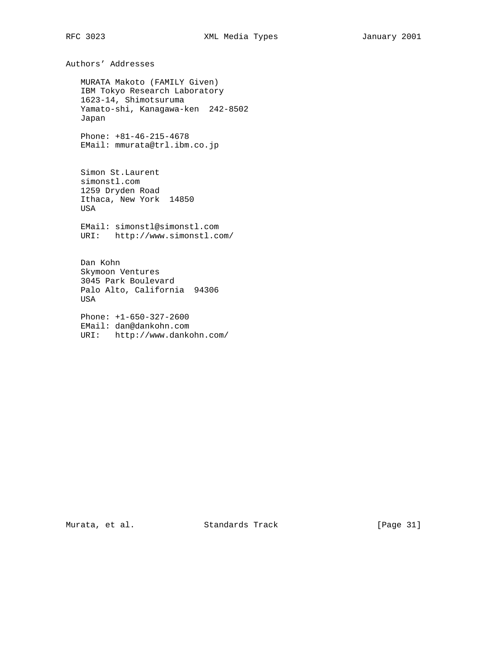Authors' Addresses

 MURATA Makoto (FAMILY Given) IBM Tokyo Research Laboratory 1623-14, Shimotsuruma Yamato-shi, Kanagawa-ken 242-8502 Japan

 Phone: +81-46-215-4678 EMail: mmurata@trl.ibm.co.jp

 Simon St.Laurent simonstl.com 1259 Dryden Road Ithaca, New York 14850 USA

 EMail: simonstl@simonstl.com URI: http://www.simonstl.com/

 Dan Kohn Skymoon Ventures 3045 Park Boulevard Palo Alto, California 94306 USA

 Phone: +1-650-327-2600 EMail: dan@dankohn.com URI: http://www.dankohn.com/

Murata, et al. Standards Track [Page 31]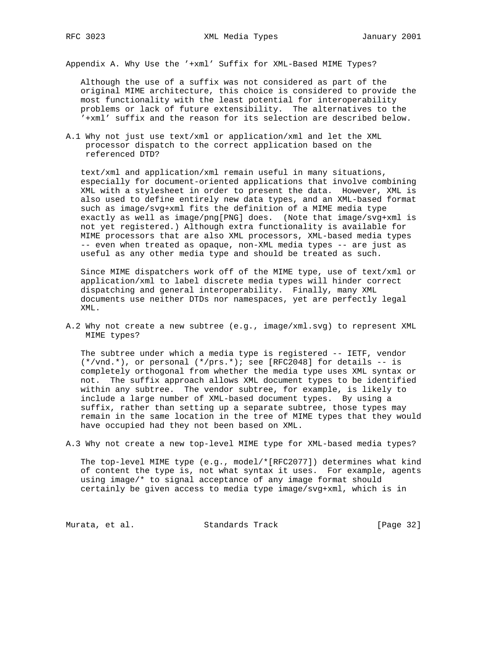Appendix A. Why Use the '+xml' Suffix for XML-Based MIME Types?

 Although the use of a suffix was not considered as part of the original MIME architecture, this choice is considered to provide the most functionality with the least potential for interoperability problems or lack of future extensibility. The alternatives to the '+xml' suffix and the reason for its selection are described below.

A.1 Why not just use text/xml or application/xml and let the XML processor dispatch to the correct application based on the referenced DTD?

 text/xml and application/xml remain useful in many situations, especially for document-oriented applications that involve combining XML with a stylesheet in order to present the data. However, XML is also used to define entirely new data types, and an XML-based format such as image/svg+xml fits the definition of a MIME media type exactly as well as image/png[PNG] does. (Note that image/svg+xml is not yet registered.) Although extra functionality is available for MIME processors that are also XML processors, XML-based media types -- even when treated as opaque, non-XML media types -- are just as useful as any other media type and should be treated as such.

 Since MIME dispatchers work off of the MIME type, use of text/xml or application/xml to label discrete media types will hinder correct dispatching and general interoperability. Finally, many XML documents use neither DTDs nor namespaces, yet are perfectly legal XML.

A.2 Why not create a new subtree (e.g., image/xml.svg) to represent XML MIME types?

 The subtree under which a media type is registered -- IETF, vendor  $(*/vnd.*)$ , or personal  $(*/prs.*)$ ; see [RFC2048] for details -- is completely orthogonal from whether the media type uses XML syntax or not. The suffix approach allows XML document types to be identified within any subtree. The vendor subtree, for example, is likely to include a large number of XML-based document types. By using a suffix, rather than setting up a separate subtree, those types may remain in the same location in the tree of MIME types that they would have occupied had they not been based on XML.

A.3 Why not create a new top-level MIME type for XML-based media types?

 The top-level MIME type (e.g., model/\*[RFC2077]) determines what kind of content the type is, not what syntax it uses. For example, agents using image/\* to signal acceptance of any image format should certainly be given access to media type image/svg+xml, which is in

Murata, et al. Standards Track [Page 32]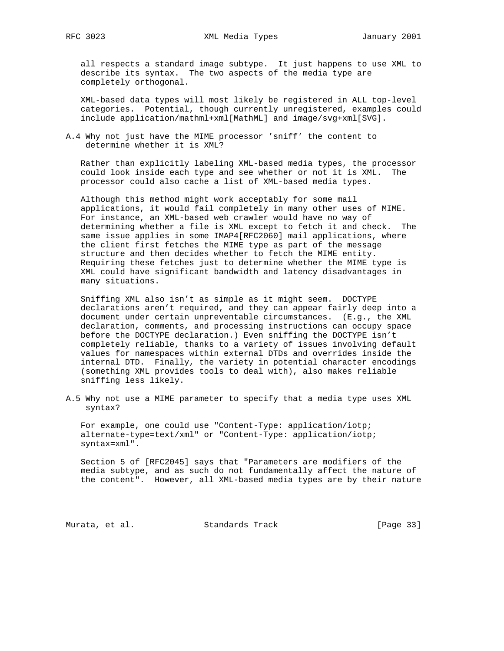all respects a standard image subtype. It just happens to use XML to describe its syntax. The two aspects of the media type are completely orthogonal.

 XML-based data types will most likely be registered in ALL top-level categories. Potential, though currently unregistered, examples could include application/mathml+xml[MathML] and image/svg+xml[SVG].

A.4 Why not just have the MIME processor 'sniff' the content to determine whether it is XML?

 Rather than explicitly labeling XML-based media types, the processor could look inside each type and see whether or not it is XML. The processor could also cache a list of XML-based media types.

 Although this method might work acceptably for some mail applications, it would fail completely in many other uses of MIME. For instance, an XML-based web crawler would have no way of determining whether a file is XML except to fetch it and check. The same issue applies in some IMAP4[RFC2060] mail applications, where the client first fetches the MIME type as part of the message structure and then decides whether to fetch the MIME entity. Requiring these fetches just to determine whether the MIME type is XML could have significant bandwidth and latency disadvantages in many situations.

 Sniffing XML also isn't as simple as it might seem. DOCTYPE declarations aren't required, and they can appear fairly deep into a document under certain unpreventable circumstances. (E.g., the XML declaration, comments, and processing instructions can occupy space before the DOCTYPE declaration.) Even sniffing the DOCTYPE isn't completely reliable, thanks to a variety of issues involving default values for namespaces within external DTDs and overrides inside the internal DTD. Finally, the variety in potential character encodings (something XML provides tools to deal with), also makes reliable sniffing less likely.

A.5 Why not use a MIME parameter to specify that a media type uses XML syntax?

 For example, one could use "Content-Type: application/iotp; alternate-type=text/xml" or "Content-Type: application/iotp; syntax=xml".

 Section 5 of [RFC2045] says that "Parameters are modifiers of the media subtype, and as such do not fundamentally affect the nature of the content". However, all XML-based media types are by their nature

Murata, et al. Standards Track [Page 33]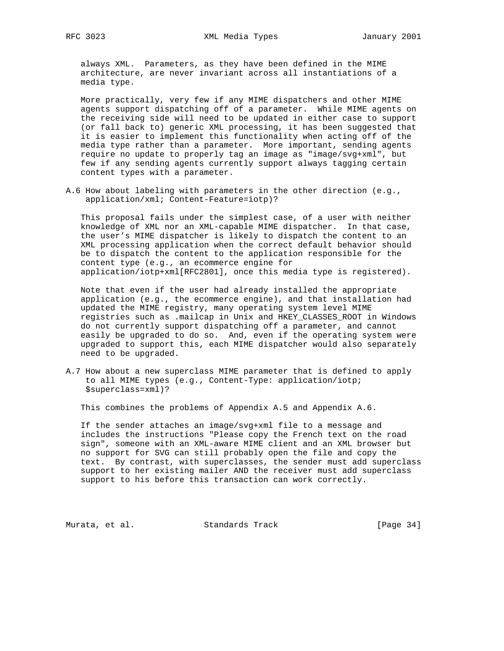always XML. Parameters, as they have been defined in the MIME architecture, are never invariant across all instantiations of a media type.

 More practically, very few if any MIME dispatchers and other MIME agents support dispatching off of a parameter. While MIME agents on the receiving side will need to be updated in either case to support (or fall back to) generic XML processing, it has been suggested that it is easier to implement this functionality when acting off of the media type rather than a parameter. More important, sending agents require no update to properly tag an image as "image/svg+xml", but few if any sending agents currently support always tagging certain content types with a parameter.

A.6 How about labeling with parameters in the other direction (e.g., application/xml; Content-Feature=iotp)?

 This proposal fails under the simplest case, of a user with neither knowledge of XML nor an XML-capable MIME dispatcher. In that case, the user's MIME dispatcher is likely to dispatch the content to an XML processing application when the correct default behavior should be to dispatch the content to the application responsible for the content type (e.g., an ecommerce engine for application/iotp+xml[RFC2801], once this media type is registered).

 Note that even if the user had already installed the appropriate application (e.g., the ecommerce engine), and that installation had updated the MIME registry, many operating system level MIME registries such as .mailcap in Unix and HKEY\_CLASSES\_ROOT in Windows do not currently support dispatching off a parameter, and cannot easily be upgraded to do so. And, even if the operating system were upgraded to support this, each MIME dispatcher would also separately need to be upgraded.

A.7 How about a new superclass MIME parameter that is defined to apply to all MIME types (e.g., Content-Type: application/iotp; \$superclass=xml)?

This combines the problems of Appendix A.5 and Appendix A.6.

 If the sender attaches an image/svg+xml file to a message and includes the instructions "Please copy the French text on the road sign", someone with an XML-aware MIME client and an XML browser but no support for SVG can still probably open the file and copy the text. By contrast, with superclasses, the sender must add superclass support to her existing mailer AND the receiver must add superclass support to his before this transaction can work correctly.

Murata, et al. Standards Track [Page 34]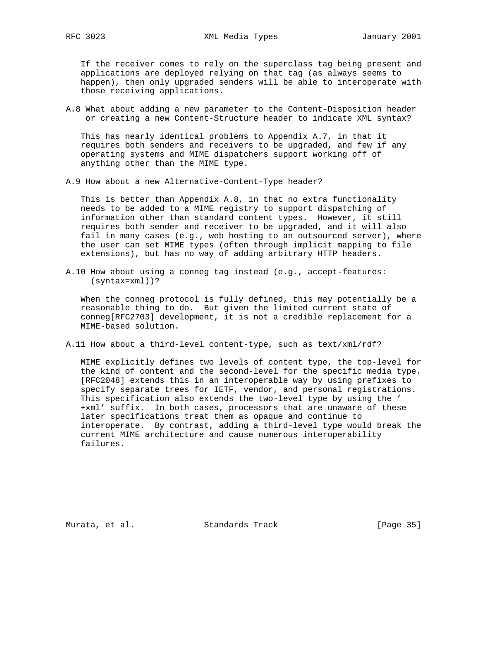If the receiver comes to rely on the superclass tag being present and applications are deployed relying on that tag (as always seems to happen), then only upgraded senders will be able to interoperate with those receiving applications.

A.8 What about adding a new parameter to the Content-Disposition header or creating a new Content-Structure header to indicate XML syntax?

 This has nearly identical problems to Appendix A.7, in that it requires both senders and receivers to be upgraded, and few if any operating systems and MIME dispatchers support working off of anything other than the MIME type.

A.9 How about a new Alternative-Content-Type header?

 This is better than Appendix A.8, in that no extra functionality needs to be added to a MIME registry to support dispatching of information other than standard content types. However, it still requires both sender and receiver to be upgraded, and it will also fail in many cases (e.g., web hosting to an outsourced server), where the user can set MIME types (often through implicit mapping to file extensions), but has no way of adding arbitrary HTTP headers.

A.10 How about using a conneg tag instead (e.g., accept-features: (syntax=xml))?

 When the conneg protocol is fully defined, this may potentially be a reasonable thing to do. But given the limited current state of conneg[RFC2703] development, it is not a credible replacement for a MIME-based solution.

A.11 How about a third-level content-type, such as text/xml/rdf?

 MIME explicitly defines two levels of content type, the top-level for the kind of content and the second-level for the specific media type. [RFC2048] extends this in an interoperable way by using prefixes to specify separate trees for IETF, vendor, and personal registrations. This specification also extends the two-level type by using the ' +xml' suffix. In both cases, processors that are unaware of these later specifications treat them as opaque and continue to interoperate. By contrast, adding a third-level type would break the current MIME architecture and cause numerous interoperability failures.

Murata, et al. Standards Track [Page 35]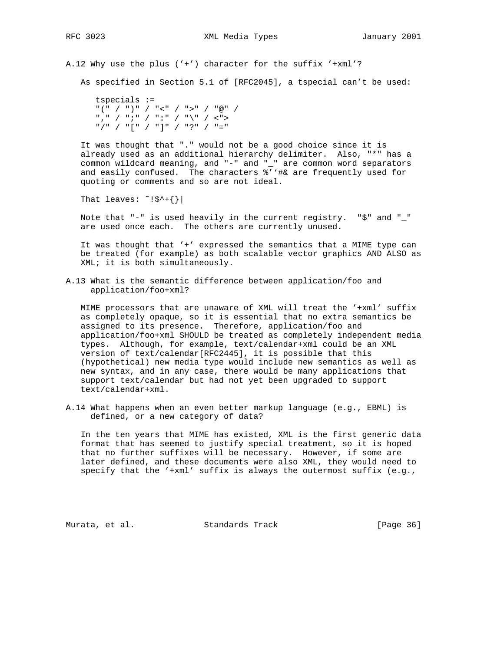A.12 Why use the plus ('+') character for the suffix '+xml'?

As specified in Section 5.1 of [RFC2045], a tspecial can't be used:

 tspecials := "(" / ")" / "<" / ">" / "@" /  $\text{``\ } \text{''} \quad \text{''} \quad \text{''} \quad \text{''} \quad \text{''} \quad \text{''} \quad \text{''} \quad \text{''} \quad \text{''} \quad \text{''} \quad \text{''} \quad \text{''} \quad \text{''} \quad \text{''} \quad \text{''} \quad \text{''} \quad \text{''} \quad \text{''} \quad \text{''} \quad \text{''} \quad \text{''} \quad \text{''} \quad \text{''} \quad \text{''} \quad \text{''} \quad \text{''} \quad \text{''} \quad \text{''} \quad \text{''} \quad \text{''} \quad \text{''$ "/" / "[" / "]" / "?" / "="

 It was thought that "." would not be a good choice since it is already used as an additional hierarchy delimiter. Also, "\*" has a common wildcard meaning, and "-" and "\_" are common word separators and easily confused. The characters %''#& are frequently used for quoting or comments and so are not ideal.

That leaves:  $\tilde{y}$ :  $\tilde{y}$   $\tilde{y}$   $\tilde{y}$   $\tilde{y}$   $\tilde{z}$   $\tilde{z}$   $\tilde{z}$ 

 Note that "-" is used heavily in the current registry. "\$" and "\_" are used once each. The others are currently unused.

 It was thought that '+' expressed the semantics that a MIME type can be treated (for example) as both scalable vector graphics AND ALSO as XML; it is both simultaneously.

A.13 What is the semantic difference between application/foo and application/foo+xml?

 MIME processors that are unaware of XML will treat the '+xml' suffix as completely opaque, so it is essential that no extra semantics be assigned to its presence. Therefore, application/foo and application/foo+xml SHOULD be treated as completely independent media types. Although, for example, text/calendar+xml could be an XML version of text/calendar[RFC2445], it is possible that this (hypothetical) new media type would include new semantics as well as new syntax, and in any case, there would be many applications that support text/calendar but had not yet been upgraded to support text/calendar+xml.

A.14 What happens when an even better markup language (e.g., EBML) is defined, or a new category of data?

 In the ten years that MIME has existed, XML is the first generic data format that has seemed to justify special treatment, so it is hoped that no further suffixes will be necessary. However, if some are later defined, and these documents were also XML, they would need to specify that the '+xml' suffix is always the outermost suffix (e.g.,

Murata, et al. Standards Track [Page 36]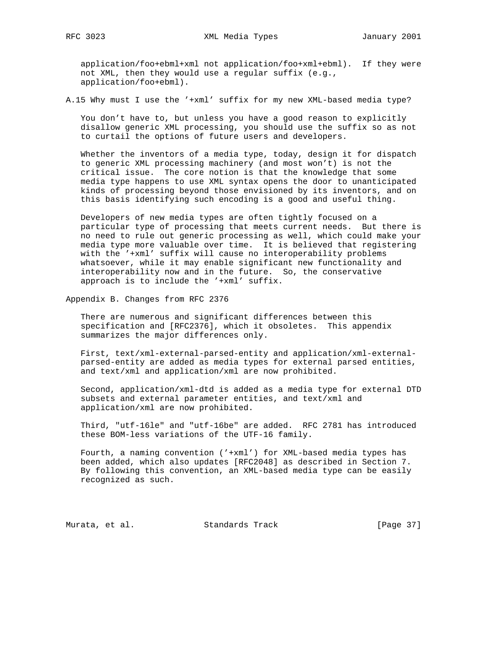application/foo+ebml+xml not application/foo+xml+ebml). If they were not XML, then they would use a regular suffix (e.g., application/foo+ebml).

A.15 Why must I use the '+xml' suffix for my new XML-based media type?

 You don't have to, but unless you have a good reason to explicitly disallow generic XML processing, you should use the suffix so as not to curtail the options of future users and developers.

 Whether the inventors of a media type, today, design it for dispatch to generic XML processing machinery (and most won't) is not the critical issue. The core notion is that the knowledge that some media type happens to use XML syntax opens the door to unanticipated kinds of processing beyond those envisioned by its inventors, and on this basis identifying such encoding is a good and useful thing.

 Developers of new media types are often tightly focused on a particular type of processing that meets current needs. But there is no need to rule out generic processing as well, which could make your media type more valuable over time. It is believed that registering with the '+xml' suffix will cause no interoperability problems whatsoever, while it may enable significant new functionality and interoperability now and in the future. So, the conservative approach is to include the '+xml' suffix.

Appendix B. Changes from RFC 2376

 There are numerous and significant differences between this specification and [RFC2376], which it obsoletes. This appendix summarizes the major differences only.

 First, text/xml-external-parsed-entity and application/xml-external parsed-entity are added as media types for external parsed entities, and text/xml and application/xml are now prohibited.

 Second, application/xml-dtd is added as a media type for external DTD subsets and external parameter entities, and text/xml and application/xml are now prohibited.

 Third, "utf-16le" and "utf-16be" are added. RFC 2781 has introduced these BOM-less variations of the UTF-16 family.

 Fourth, a naming convention ('+xml') for XML-based media types has been added, which also updates [RFC2048] as described in Section 7. By following this convention, an XML-based media type can be easily recognized as such.

Murata, et al. Standards Track [Page 37]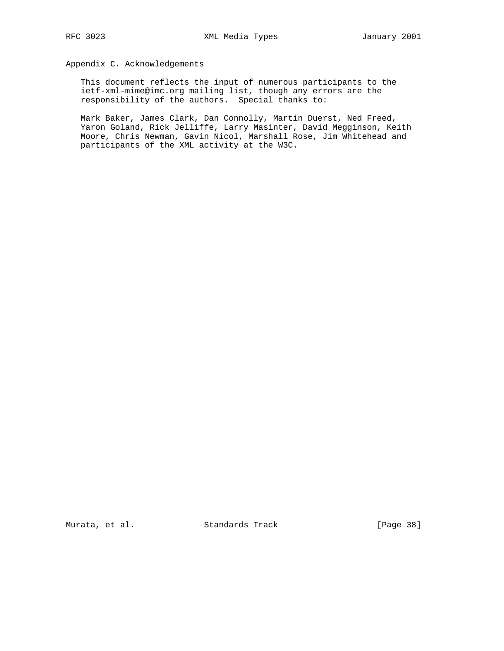Appendix C. Acknowledgements

 This document reflects the input of numerous participants to the ietf-xml-mime@imc.org mailing list, though any errors are the responsibility of the authors. Special thanks to:

 Mark Baker, James Clark, Dan Connolly, Martin Duerst, Ned Freed, Yaron Goland, Rick Jelliffe, Larry Masinter, David Megginson, Keith Moore, Chris Newman, Gavin Nicol, Marshall Rose, Jim Whitehead and participants of the XML activity at the W3C.

Murata, et al. Standards Track [Page 38]